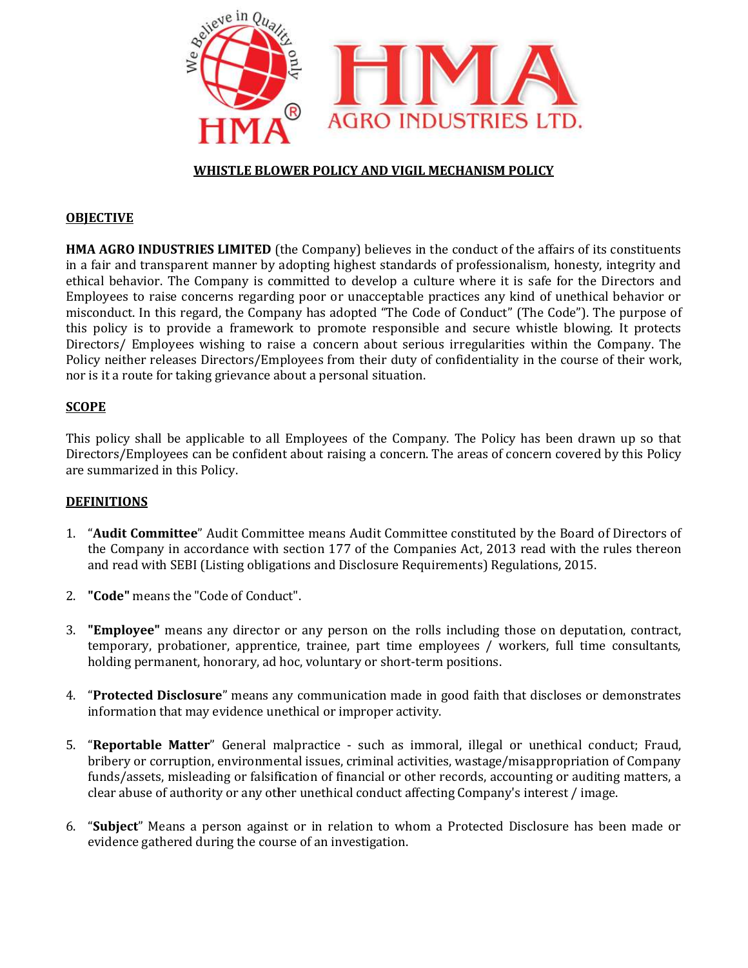

# WHISTLE BLOWER POLICY AND VIGIL MECHANISM POLICY

## **OBJECTIVE**

HMA AGRO INDUSTRIES LIMITED (the Company) believes in the conduct of the affairs of its constituents in a fair and transparent manner by adopting highest standards of professionalism, honesty, integrity and **HMA AGRO INDUSTRIES LIMITED** (the Company) believes in the conduct of the affairs of its constituents in a fair and transparent manner by adopting highest standards of professionalism, honesty, integrity and ethical behav Employees to raise concerns regarding poor or unacceptable practices any kind of unethical behavior or misconduct. In this regard, the Company has adopted "The Code of Conduct" (The Code"). The purpose of this policy is to provide a framework to promote responsible and secure whistle blowing. It protects Directors/ Employees wishing to raise a concern about serious irregularities within the Company. The Policy neither releases Directors/Employees from their duty of confidentiality in the course of their work, nor is it a route for taking grievance about a personal situation. the a framework to promote responsible and secure whistle blowing. It protects<br>wishing to raise a concern about serious irregularities within the Company. The<br>Directors/Employees from their duty of confidentiality in the c ifor. The Company is committed to develop a culture where it is safe for the Directos and the relations and this regard, the Company has adopted "The Code of Conduct" (The Code"). The purpose of the company has adopted "Th

## **SCOPE**

nor is it a route for taking grievance about a personal situation.<br>SCOPE<br>This policy shall be applicable to all Employees of the Company. The Policy has been drawn up so that Directors/Employees can be confident about raising a concern. The areas of concern covered by this Policy are summarized in this Policy.

## DEFINITIONS

- 1. "Audit Committee" Audit Committee means Audit Committee constituted by the Board of Directors of "Audit Committee" Audit Committee means Audit Committee constituted by the Board of Directors of the Company in accordance with section 177 of the Companies Act, 2013 read with the rules thereon and read with SEBI (Listing obligations and Disclosure Requirements) Regulations, 2015.<br>**"Code"** means the "Code of Conduct".
- 2. "Code" means the "Code of Conduct".
- 3. "Employee" means any director or any person on the rolls including those on deputation, contract, temporary, probationer, apprentice, trainee, part time employees / workers, full time consultants, holding permanent, honorary, ad hoc, voluntary or short-term positions. any director or any person on the rolls including<br>ner, apprentice, trainee, part time employees / w<br>nonorary, ad hoc, voluntary or short-term positions. of the Company. The Policy has been drawn up so that expansion of the areas of concern covered by this Policy<br>udit Committee constituted by the Board of Directors of<br>of the Companies Act, 2013 read with the rules thereon<br>c
- 4. "Protected Disclosure" means any communication made in good faith that discloses or demonstrates information that may evidence unethical or improper activity. 4. **"Protected Disclosure"** means any communication made in good faith that discloses or demonstrat information that may evidence unethical or improper activity.<br>5. **"Reportable Matter"** General malpractice - such as immor
- bribery or corruption, environmental issues, criminal activities, wastage/misappropriation of Company funds/assets, misleading or falsification of financial or other records, accounting or auditing matters, a bribery or corruption, environmental issues, criminal activities, wastage/misappropriation o<br>funds/assets, misleading or falsification of financial or other records, accounting or auditing<br>clear abuse of authority or any o
- 6. "Subject" Means a person against or in relation to whom a Protected Disclosure has been made or evidence gathered during the course of an investigation.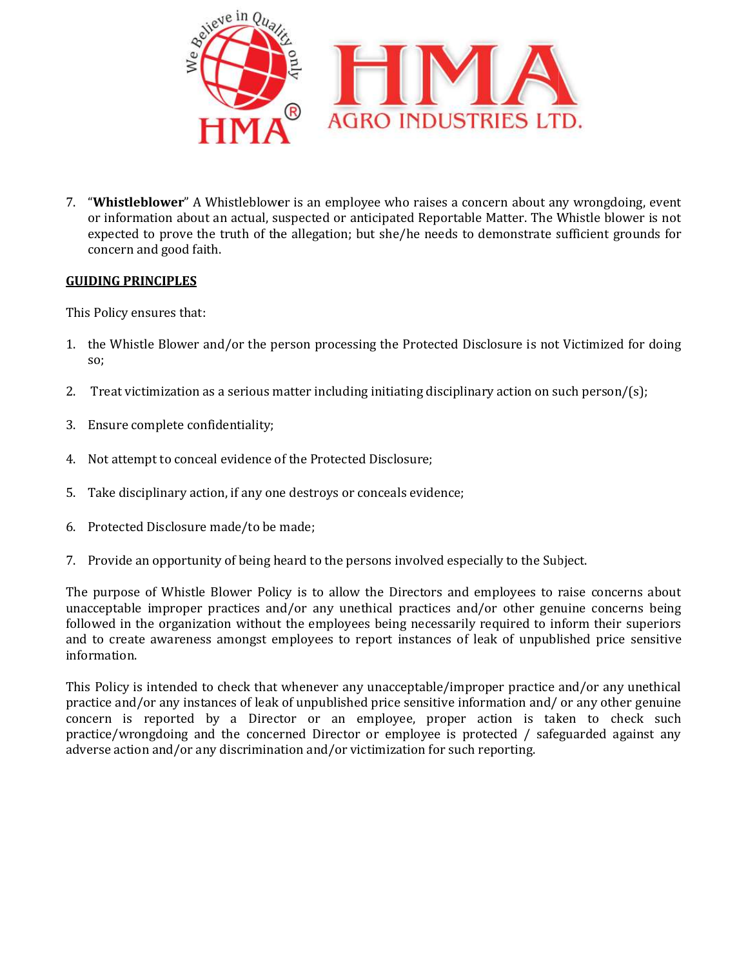

7. "Whistleblower" A Whistleblower is an employee who raises a concern about any wrongdoing, event or information about an actual, suspected or anticipated Reportable Matter. The Whistle blower is not or information about an actual, suspected or anticipated Reportable Matter. The Whistle blower is not<br>expected to prove the truth of the allegation; but she/he needs to demonstrate sufficient grounds for concern and good faith.

## GUIDING PRINCIPLES

This Policy ensures that:

- 1. the Whistle Blower and/or the person processing the Protected Disclosure is not Victimized for doing so; the Whistle Blower and/or the person processing the Protected Disclosure is not<br>so;<br>Treat victimization as a serious matter including initiating disciplinary action on su<br>Ensure complete confidentiality;<br>Not attempt to con
- 2. Treat victimization as a serious matter including initiating disciplinary action on such person/ $(s)$ ;
- 3. Ensure complete confidentiality;
- 4. Not attempt to conceal evidence of the Protected Disclosure;
- 5. Take disciplinary action, if any one destroys or concea
- 6. Protected Disclosure made/to be made;
- 7. Provide an opportunity of being heard to the persons involved especially to the Subject.

The purpose of Whistle Blower Policy is to allow the Directors and employees to raise concerns about unacceptable improper practices and/or any unethical practices and/or other genuine concerns being followed in the organization without the employees being necessarily required to inform their superiors and to create awareness amongst employees to report instances of leak of unpublished price sensitive information. tected Disclosure made/to be made;<br>vide an opportunity of being heard to the persons involved especially to the Subject.<br>rpose of Whistle Blower Policy is to allow the Directors and employees to raise concerns about<br>table ion raises a concern about any wrongdoing, event<br>ed Reportable Matter. The Whistle blower is not<br>/he needs to demonstrate sufficient grounds for<br>Protected Disclosure is not Victimized for doing<br>ting disciplinary action on

This Policy is intended to check that whenever any unacceptable/improper practice and/or any unethical practice and/or any instances of leak of unpublished price sensitive information and/ or any other concern is reported by a Director or an employee, proper action is taken to check such practice/wrongdoing and the concerned Director or employee is protected / safeguarded against any adverse action and/or any discrimination and/or victimization for such reporting. This Policy is intended to check that whenever any unacceptable/improper practice and/or practice and/or any instances of leak of unpublished price sensitive information and/ or any concern is reported by a Director or an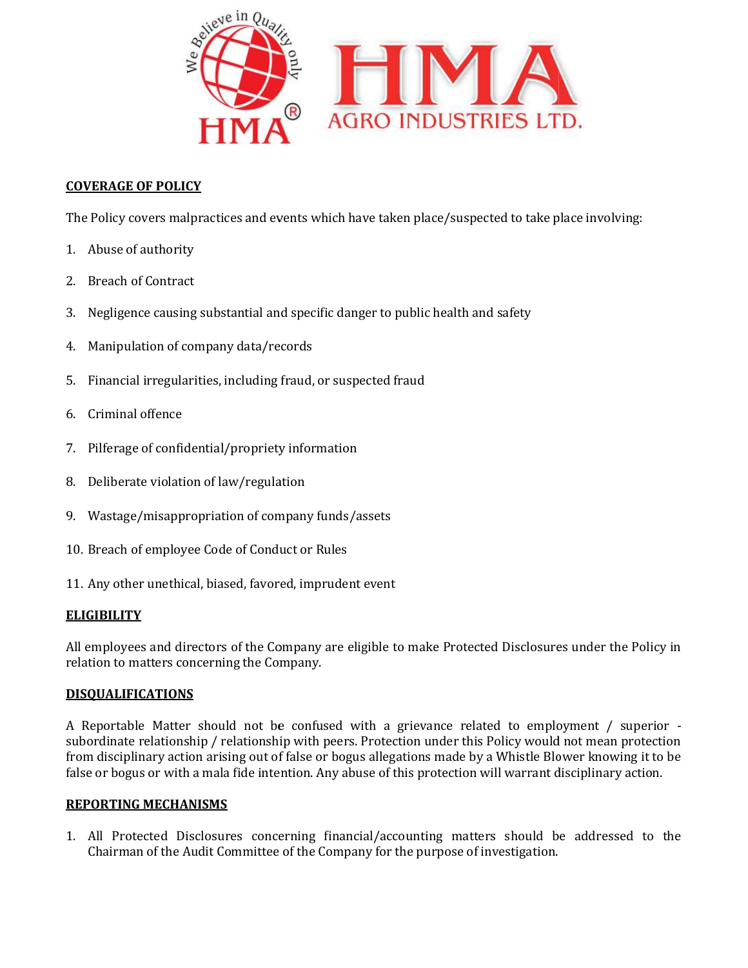

# COVERAGE OF POLICY

The Policy covers malpractices and events which have taken place/suspected to take place involving:<br>
1. Abuse of authority<br>
2. Breach of Contract<br>
3. Negligence causing substantial and specific danger to public health and

- 1. Abuse of authority
- 2. Breach of Contract
- 3. Negligence causing substantial and specific danger to public health and
- 4. Manipulation of company data/records
- 5. Financial irregularities, including fraud, or suspected fraud
- 6. Criminal offence
- 7. Pilferage of confidential/propriety information
- 8. Deliberate violation of law/regulation
- 9. Wastage/misappropriation of company fund Deliberate violation Wastage/misappropriation of funds/assets
- 10. Breach of employee Code of Conduct or Rules
- 11. Any other unethical, biased, favored, imprudent event

## **ELIGIBILITY**

All employees and directors of the Company are eligible to make Protected Disclosures under the Policy in relation to matters concerning the Company.

## DISQUALIFICATIONS

A Reportable Matter should not be confused with a grievance related to employment / superior subordinate relationship / relationship with peers. Protection under this Policy would not mean protection from disciplinary action arising out of false or bogus allegations made by a Whistle Blower knowing it to be false or bogus or with a mala fide intention. Any abuse of this protection will warrant disciplinary action. of Conduct or Rules<br>
of Conductions of the Company are eligible to make Protected Disclosures under the Policy in<br>
to matters concerning the Company.<br>
LLIFICATIONS<br>
rtable Matter should not be confused with a grievance rel

#### REPORTING MECHANISMS

1. All Protected Disclosures concerning financial/accounting matters should be addressed to the Chairman of the Audit Committee of the Company for the purpose of investigation.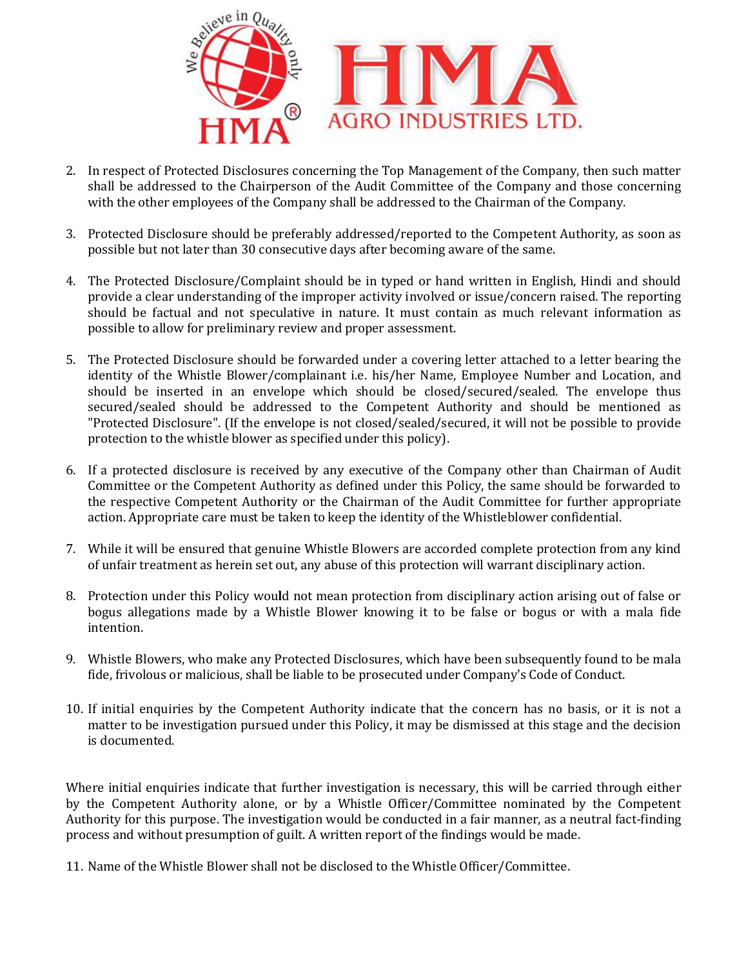

- 2. In respect of Protected Disclosures concerning the Top Management of the Company, then such matter shall be addressed to the Chairperson of the Audit Committee of the Company and those concerning with the other employees of the Company shall be addressed to the Chairman of the Company. respect of Protected Disclosures concerning the Top Management of the Company, then such matter<br>all be addressed to the Chairperson of the Audit Committee of the Company and those concerning<br>th the other employees of the C
- 3. Protected Disclosure should be preferably addressed/reported to the Competent Authority, as soon as possible but not later than 30 consecutive days after becoming aware of the same.
- 4. The Protected Disclosure/Complaint should be in typed or hand written in English, Hindi and should possible but not later than 30 consecutive days after becoming aware of the same.<br>The Protected Disclosure/Complaint should be in typed or hand written in English, Hindi and should<br>provide a clear understanding of the impr should be factual and not speculative in nature. It must contain as much relevant information as possible to allow for preliminary review and proper assessment. should be factual and not speculative in nature. It must contain as much relevant information as possible to allow for preliminary review and proper assessment.<br>5. The Protected Disclosure should be forwarded under a cover
- identity of the Whistle Blower/complainant i.e. his/her Name, Employee Number and Location, and should be inserted in an envelope which should be closed/secured/sealed. The envelope thus secured/sealed should be addressed to the Competent Authority and should be mentioned as "Protected Disclosure". (If the envelope is not closed/sealed/secured, it will not be possible to provide protection to the whistle blower as specified under this policy) identity of the Whistle Blower/complainant i.e. his/her Name, Employee Number and should be inserted in an envelope which should be closed/secured/sealed. The  $\epsilon$  secured/sealed should be addressed to the Competent Autho It be addressed to the Norieney and the Audri Committee of the Company and those concerning<br>the clutcom of the Manner and the Audri Commany control and the Company.<br>
Here the manner sounds the preferably addressed/reporte
- 6. If a protected disclosure is received by any executive of the Company other than Chairman of Audit Committee or the Competent Authority as defined under this Policy, the same should be forwarded to the respective Competent Authority or the Chairman of the Audit Committee for further appropriate action. Appropriate care must be taken to keep the identity of the Whistleblower confidential. If a protected disclosure is received by any executive of the Company other than Chairman of Audit<br>Committee or the Competent Authority as defined under this Policy, the same should be forwarded to<br>the respective Competent
- 7. While it will be ensured that genuine Whistle Blowers are accorded complete protection from any kind of unfair treatment as herein set out, any abuse of this protection will warrant disciplinary action.
- 8. Protection under this Policy would not mean protection from disciplinary action arising out of false or While it will be ensured that genuine Whistle Blowers are accorded complete protection from any kind<br>of unfair treatment as herein set out, any abuse of this protection will warrant disciplinary action.<br>Protection under th intention.
- 9. Whistle Blowers, who make any Protected Disclosures, which have been subsequently found to be mala fide, frivolous or malicious, shall be liable to be prosecuted under Company's Code of Conduct.
- 10. If initial enquiries by the Competent Authority indicate that the concern has no basis, or it is not a matter to be investigation pursued under this Policy, it may be dismissed at this stage and the decision is documented. Blowers, who make any Protected Disclosures, which have been subsequently found to be mala<br>blous or malicious, shall be liable to be prosecuted under Company's Code of Conduct.<br>enquiries by the Competent Authority indicate

Where initial enquiries indicate that further investigation is necessary, this will be carried through either by the Competent Authority alone, or by a Whistle Officer/Committee nominated by the Competent Authority for this purpose. The investigation would be conducted in a fair manner, as a neutral fact-finding process and without presumption of guilt. A written report of the findings would be made.

11. Name of the Whistle Blower shall not be disclosed to the Whistle Officer/Committee.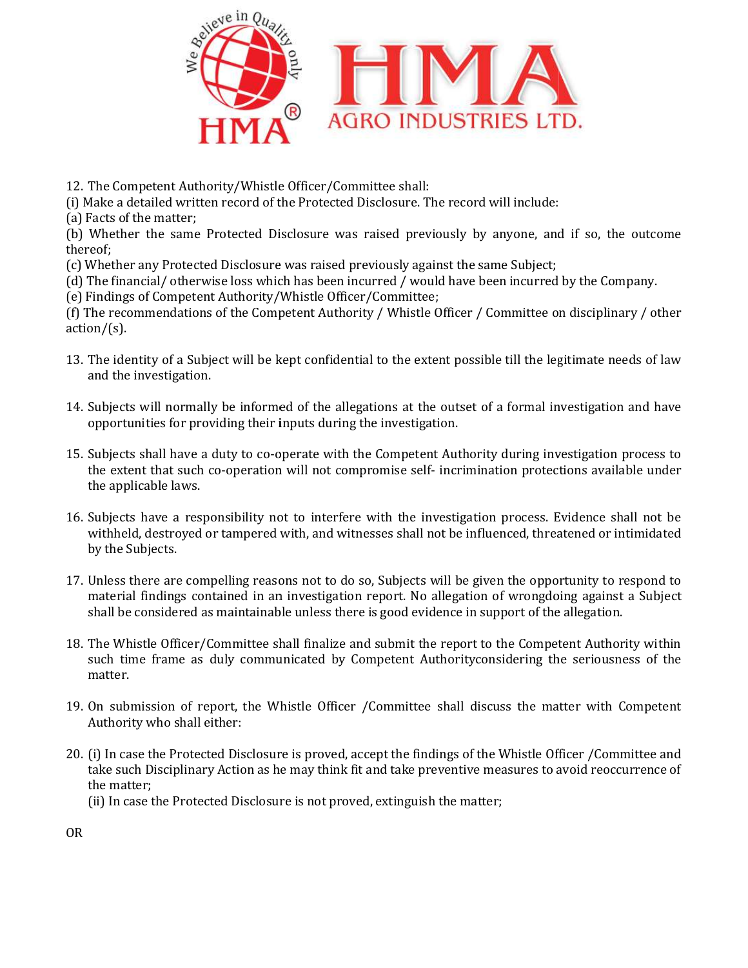

12. The Competent Authority/Whistle Officer/Committee shall:

(i) Make a detailed written record of the Protected Disclosure. The record will include:

(a) Facts of the matter;

(b) Whether the same Protected Disclosure was raised previously by anyone, and if so, the outcome thereof; Make a detailed written record of the Protected Disclosure. The record will include:<br>Facts of the matter;<br>Whether the same Protected Disclosure was raised previously by anyone, and if so, the<br>reof;<br>Whether any Protected Di

(c) Whether any Protected Disclosure was

(d) The financial/ otherwise loss which has been incurred / would have been incurred by the Company.

(e) Findings of Competent Authority/Whistle Officer/Committee;

(d) The financial/ otherwise loss which has been incurred / would have been incurred by the Company.<br>(e) Findings of Competent Authority/Whistle Officer/Committee;<br>(f) The recommendations of the Competent Authority / Whist  $action/(s)$ .

- 13. The identity of a Subject will be kept confidential to the extent possible till the legitimate needs of law and the investigation.
- 14. Subjects will normally be informed of the allegations at the outset of a formal investigation and have opportunities for providing their inputs during the investigation.
- 15. Subjects shall have a duty to co-operate with the Competent Authority during investigation process to opportunities for providing their inputs during the investigation.<br>Subjects shall have a duty to co-operate with the Competent Authority during investigation process to<br>the extent that such co-operation will not compromise the applicable laws.
- 16. Subjects have a responsibility not to interfere with the investigation process. Evidence shall not be Subjects have a responsibility not to interfere with the investigation process. Evidence shall not be withheld, destroyed or tampered with, and witnesses shall not be influenced, threatened or intimidated by the Subjects.
- 17. Unless there are compelling reasons not to do so, Subjects will be given the opportunity to respond to material findings contained in an investigation report. No allegation of wrongdoing against a Subje shall be considered as maintainable unless there is good evidence in support of the allegation. Unless there are compelling reasons not to do so, Subjects will be given the opportunity to respond to material findings contained in an investigation report. No allegation of wrongdoing against a Subject shall be consider
- 18. The Whistle Officer/Committee shall finalize and submit the report to the Competent Authority within such time frame as duly communicated by Competent Authorityconsidering the seriousness of the matter. port to the Competent Authority within<br>rityconsidering the seriousness of the<br>lll discuss the matter with Competent<br>s of the Whistle Officer /Committee and
- 19. On submission of report, the Whistle Officer /Committee shall discuss the matter with Competent Authority who shall either: 19. On submission of report, the Whistle Officer /Committee shall discuss the matter with Competent<br>Authority who shall either:<br>20. (i) In case the Protected Disclosure is proved, accept the findings of the Whistle Officer
- take such Disciplinary Action as he may think fit and take preventive measures to avoid reoccurrence of the matter; as tions of the Competent Authority / Whistle Officer / Committee on disciplinary / other<br>
a Subject will be kept confidential to the extent possible till the legitimate needs of law<br>
gation.<br>
Formally be informed of the a

(ii) In case the Protected Disclosure is not proved, extinguish the matter;

OR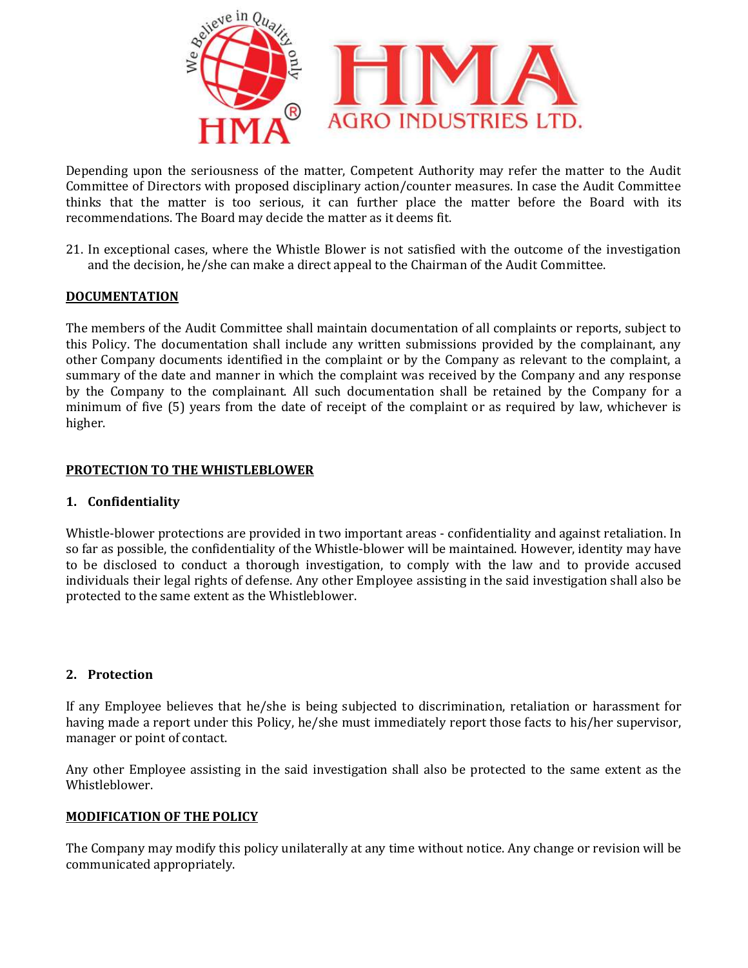

Depending upon the seriousness of the matter, Competent Authority may refer the matter to the Audit Committee of Directors with proposed disciplinary action/counter measures. In case the Audit Committee Depending upon the seriousness of the matter, Competent Authority may refer the matter to the Audit Committee<br>Committee of Directors with proposed disciplinary action/counter measures. In case the Audit Committee<br>thinks th recommendations. The Board may decide the matter as it deems fit.

21. In exceptional cases, where the Whistle Blower is not satisfied with the outcome of the investigation and the decision, he/she can make a direct appeal to the Chairman of the Audit Committee. that the matter is too serious, it can further place the matter before the Board<br>nendations. The Board may decide the matter as it deems fit.<br>xceptional cases, where the Whistle Blower is not satisfied with the outcome of

## **DOCUMENTATION**

The members of the Audit Committee shall maintain documentation of all complaints or reports, subject to this Policy. The documentation shall include any written submissions provided by the complainant, any other Company documents identified in the complaint or by the Company as relevant to the complaint, a summary of the date and manner in which the complaint was received by the Company and any response by the Company to the complainant. All such documentation shall be retained minimum of five (5) years from the date of receipt of the complaint or as required by law, whichever is higher. members of the Audit Committee shall maintain documentation of all complaints or reports, subject to Policy. The documentation shall include any written submissions provided by the complainant, any r Company documents iden n of five (5) years from the date of receipt of the complaint or as required by law, whichever is<br>TION TO THE WHISTLEBLOWER<br>TION TO THE WHISTLEBLOWER<br>blower protections are provided in two important areas - confidentiality irect appeal to the Chairman of the Audit Committee.<br>
Il maintain documentation of all complaints or reports, subject to<br>
ude any written submissions provided by the complainat, any<br>
the complaint or by the Company as rele

## PROTECTION TO THE WHISTLEBLOWER

## 1. Confidentiality

Whistle-blower protections are provided in two important areas - confidentiality and against retaliation. In so far as possible, the confidentiality of the Whistle-blower will be maintained. However, identity may have to be disclosed to conduct a thorough investigation, to comply with the law and to provide accused individuals their legal rights of defense. Any other Employee assisting in the said investigation shall also be protected to the same extent as the Whistleblower.

## 2. Protection

If any Employee believes that he/she is being subjected to discrimination, retaliation or harassment for having made a report under this Policy, he/she must immediately report those facts to his/her supervisor, manager or point of contact. oriduals their legal rights of defense. Any other Employee assisting in the said investigation shall also lected to the same extent as the Whistleblower.<br>
Protection<br>
by Employee believes that he/she is being subjected to

Any other Employee assisting in the said investigation shall also be protected to the same extent as the Whistleblower.

## MODIFICATION OF THE POLICY

The Company may modify this policy unilaterally at any time without notice. Any change or revision will be communicated appropriately.